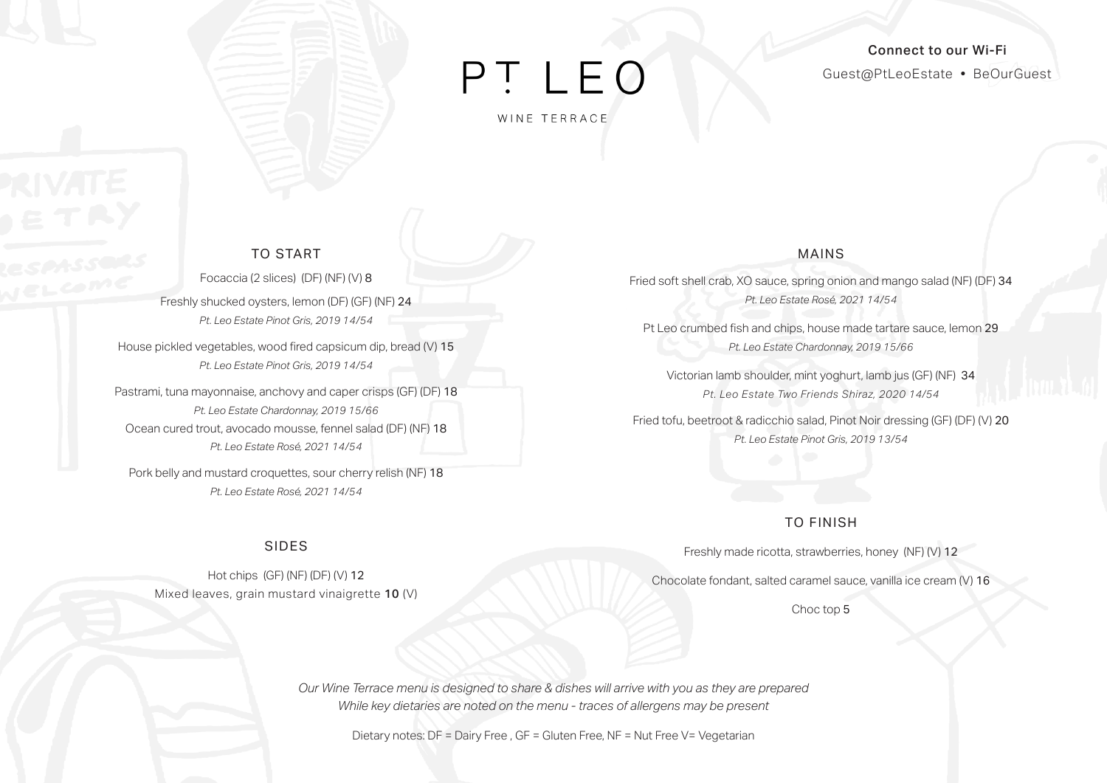# PT LEO

WINE TERRACE

### Connect to our Wi-Fi Guest@PtLeoEstate • BeOurGuest

### TO START

Focaccia (2 slices) (DF) (NF) (V) 8

Freshly shucked oysters, lemon (DF) (GF) (NF) 24 *Pt. Leo Estate Pinot Gris, 2019 14/54*

House pickled vegetables, wood fired capsicum dip, bread (V) 15 *Pt. Leo Estate Pinot Gris, 2019 14/54* 

Pastrami, tuna mayonnaise, anchovy and caper crisps (GF) (DF) 18 *Pt. Leo Estate Chardonnay, 2019 15/66* Ocean cured trout, avocado mousse, fennel salad (DF) (NF) 18 *Pt. Leo Estate Rosé, 2021 14/54*

Pork belly and mustard croquettes, sour cherry relish (NF) 18 *Pt. Leo Estate Rosé, 2021 14/54* 

### SIDES

Hot chips (GF) (NF) (DF) (V) 12 Mixed leaves, grain mustard vinaigrette 10 (V)

### MAINS

Fried soft shell crab, XO sauce, spring onion and mango salad (NF) (DF) 34 *Pt. Leo Estate Rosé, 2021 14/54*

Pt Leo crumbed fish and chips, house made tartare sauce, lemon 29 *Pt. Leo Estate Chardonnay, 2019 15/66*

Victorian lamb shoulder, mint yoghurt, lamb jus (GF) (NF) 34 *Pt. Leo Estate Two Friends Shiraz, 2020 14/54*

Fried tofu, beetroot & radicchio salad, Pinot Noir dressing (GF) (DF) (V) 20 *Pt. Leo Estate Pinot Gris, 2019 13/54*

### TO FINISH

Freshly made ricotta, strawberries, honey (NF) (V) 12

Chocolate fondant, salted caramel sauce, vanilla ice cream (V) 16

Choc top 5

*Our Wine Terrace menu is designed to share & dishes will arrive with you as they are prepared While key dietaries are noted on the menu - traces of allergens may be present*

Dietary notes: DF = Dairy Free , GF = Gluten Free, NF = Nut Free V= Vegetarian